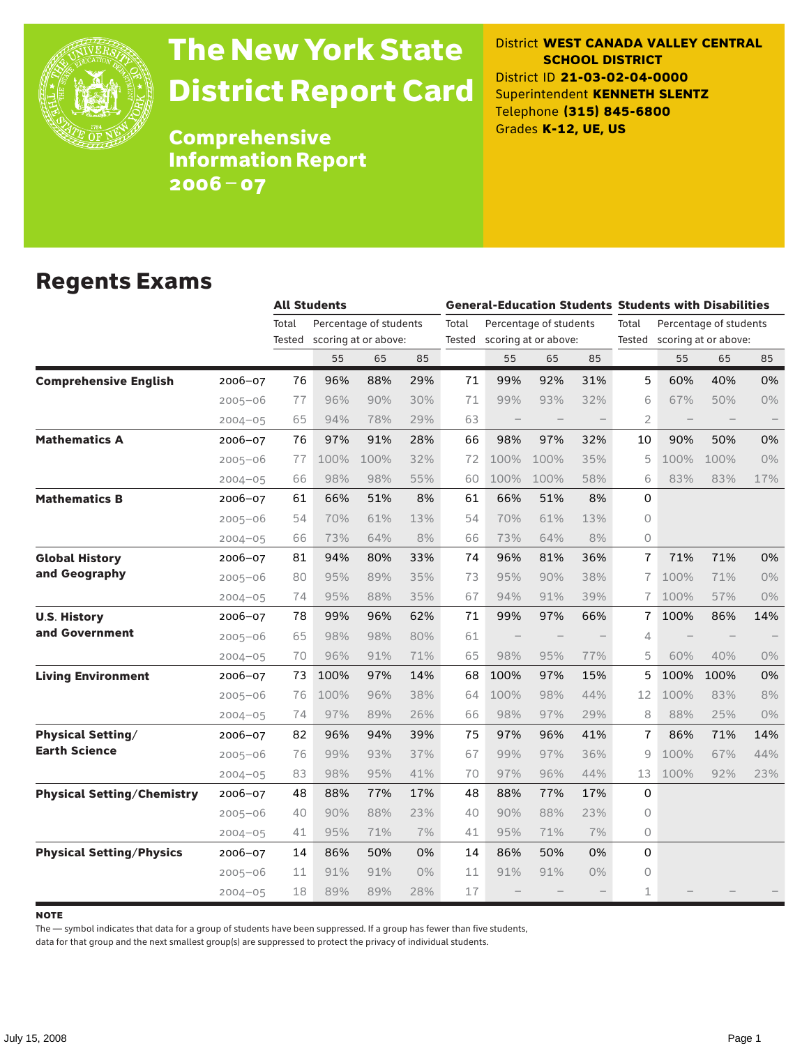

# The New York State District Report Card

District **WEST CANADA VALLEY CENTRAL SCHOOL DISTRICT** District ID **21-03-02-04-0000** Superintendent **KENNETH SLENTZ** Telephone **(315) 845-6800** Grades **K-12, UE, US**

Comprehensive Information Report 2006–07

#### Regents Exams

|                                   |             |                 | <b>All Students</b> |                                                |       |       | <b>General-Education Students Students with Disabilities</b> |                                                       |       |                |                          |                                                       |     |  |
|-----------------------------------|-------------|-----------------|---------------------|------------------------------------------------|-------|-------|--------------------------------------------------------------|-------------------------------------------------------|-------|----------------|--------------------------|-------------------------------------------------------|-----|--|
|                                   |             | Total<br>Tested |                     | Percentage of students<br>scoring at or above: |       | Total |                                                              | Percentage of students<br>Tested scoring at or above: |       | Total          |                          | Percentage of students<br>Tested scoring at or above: |     |  |
|                                   |             |                 | 55                  | 65                                             | 85    |       | 55                                                           | 65                                                    | 85    |                | 55                       | 65                                                    | 85  |  |
| <b>Comprehensive English</b>      | 2006-07     | 76              | 96%                 | 88%                                            | 29%   | 71    | 99%                                                          | 92%                                                   | 31%   | 5              | 60%                      | 40%                                                   | 0%  |  |
|                                   | $2005 - 06$ | 77              | 96%                 | 90%                                            | 30%   | 71    | 99%                                                          | 93%                                                   | 32%   | 6              | 67%                      | 50%                                                   | 0%  |  |
|                                   | $2004 - 05$ | 65              | 94%                 | 78%                                            | 29%   | 63    | $\overline{\phantom{0}}$                                     |                                                       |       | 2              | $\overline{\phantom{0}}$ |                                                       |     |  |
| <b>Mathematics A</b>              | 2006-07     | 76              | 97%                 | 91%                                            | 28%   | 66    | 98%                                                          | 97%                                                   | 32%   | 10             | 90%                      | 50%                                                   | 0%  |  |
|                                   | $2005 - 06$ | 77              | 100%                | 100%                                           | 32%   | 72    | 100%                                                         | 100%                                                  | 35%   | 5              | 100%                     | 100%                                                  | 0%  |  |
|                                   | $2004 - 05$ | 66              | 98%                 | 98%                                            | 55%   | 60    | 100%                                                         | 100%                                                  | 58%   | 6              | 83%                      | 83%                                                   | 17% |  |
| <b>Mathematics B</b>              | 2006-07     | 61              | 66%                 | 51%                                            | 8%    | 61    | 66%                                                          | 51%                                                   | 8%    | 0              |                          |                                                       |     |  |
|                                   | $2005 - 06$ | 54              | 70%                 | 61%                                            | 13%   | 54    | 70%                                                          | 61%                                                   | 13%   | $\circ$        |                          |                                                       |     |  |
|                                   | $2004 - 05$ | 66              | 73%                 | 64%                                            | 8%    | 66    | 73%                                                          | 64%                                                   | 8%    | $\circ$        |                          |                                                       |     |  |
| <b>Global History</b>             | 2006-07     | 81              | 94%                 | 80%                                            | 33%   | 74    | 96%                                                          | 81%                                                   | 36%   | 7              | 71%                      | 71%                                                   | 0%  |  |
| and Geography                     | $2005 - 06$ | 80              | 95%                 | 89%                                            | 35%   | 73    | 95%                                                          | 90%                                                   | 38%   | $\overline{7}$ | 100%                     | 71%                                                   | 0%  |  |
|                                   | $2004 - 05$ | 74              | 95%                 | 88%                                            | 35%   | 67    | 94%                                                          | 91%                                                   | 39%   | 7              | 100%                     | 57%                                                   | 0%  |  |
| <b>U.S. History</b>               | 2006-07     | 78              | 99%                 | 96%                                            | 62%   | 71    | 99%                                                          | 97%                                                   | 66%   | 7              | 100%                     | 86%                                                   | 14% |  |
| and Government                    | $2005 - 06$ | 65              | 98%                 | 98%                                            | 80%   | 61    |                                                              |                                                       |       | 4              |                          |                                                       |     |  |
|                                   | $2004 - 05$ | 70              | 96%                 | 91%                                            | 71%   | 65    | 98%                                                          | 95%                                                   | 77%   | 5              | 60%                      | 40%                                                   | 0%  |  |
| <b>Living Environment</b>         | 2006-07     | 73              | 100%                | 97%                                            | 14%   | 68    | 100%                                                         | 97%                                                   | 15%   | 5              | 100%                     | 100%                                                  | 0%  |  |
|                                   | $2005 - 06$ | 76              | 100%                | 96%                                            | 38%   | 64    | 100%                                                         | 98%                                                   | 44%   | 12             | 100%                     | 83%                                                   | 8%  |  |
|                                   | $2004 - 05$ | 74              | 97%                 | 89%                                            | 26%   | 66    | 98%                                                          | 97%                                                   | 29%   | 8              | 88%                      | 25%                                                   | 0%  |  |
| <b>Physical Setting/</b>          | 2006-07     | 82              | 96%                 | 94%                                            | 39%   | 75    | 97%                                                          | 96%                                                   | 41%   | 7              | 86%                      | 71%                                                   | 14% |  |
| <b>Earth Science</b>              | $2005 - 06$ | 76              | 99%                 | 93%                                            | 37%   | 67    | 99%                                                          | 97%                                                   | 36%   | 9              | 100%                     | 67%                                                   | 44% |  |
|                                   | $2004 - 05$ | 83              | 98%                 | 95%                                            | 41%   | 70    | 97%                                                          | 96%                                                   | 44%   | 13             | 100%                     | 92%                                                   | 23% |  |
| <b>Physical Setting/Chemistry</b> | 2006-07     | 48              | 88%                 | 77%                                            | 17%   | 48    | 88%                                                          | 77%                                                   | 17%   | 0              |                          |                                                       |     |  |
|                                   | $2005 - 06$ | 40              | 90%                 | 88%                                            | 23%   | 40    | 90%                                                          | 88%                                                   | 23%   | 0              |                          |                                                       |     |  |
|                                   | $2004 - 05$ | 41              | 95%                 | 71%                                            | 7%    | 41    | 95%                                                          | 71%                                                   | 7%    | 0              |                          |                                                       |     |  |
| <b>Physical Setting/Physics</b>   | $2006 - 07$ | 14              | 86%                 | 50%                                            | 0%    | 14    | 86%                                                          | 50%                                                   | 0%    | 0              |                          |                                                       |     |  |
|                                   | $2005 - 06$ | 11              | 91%                 | 91%                                            | $0\%$ | 11    | 91%                                                          | 91%                                                   | $0\%$ | 0              |                          |                                                       |     |  |
|                                   | $2004 - 05$ | 18              | 89%                 | 89%                                            | 28%   | 17    |                                                              |                                                       |       | 1              |                          |                                                       |     |  |

**NOTE** 

The — symbol indicates that data for a group of students have been suppressed. If a group has fewer than five students,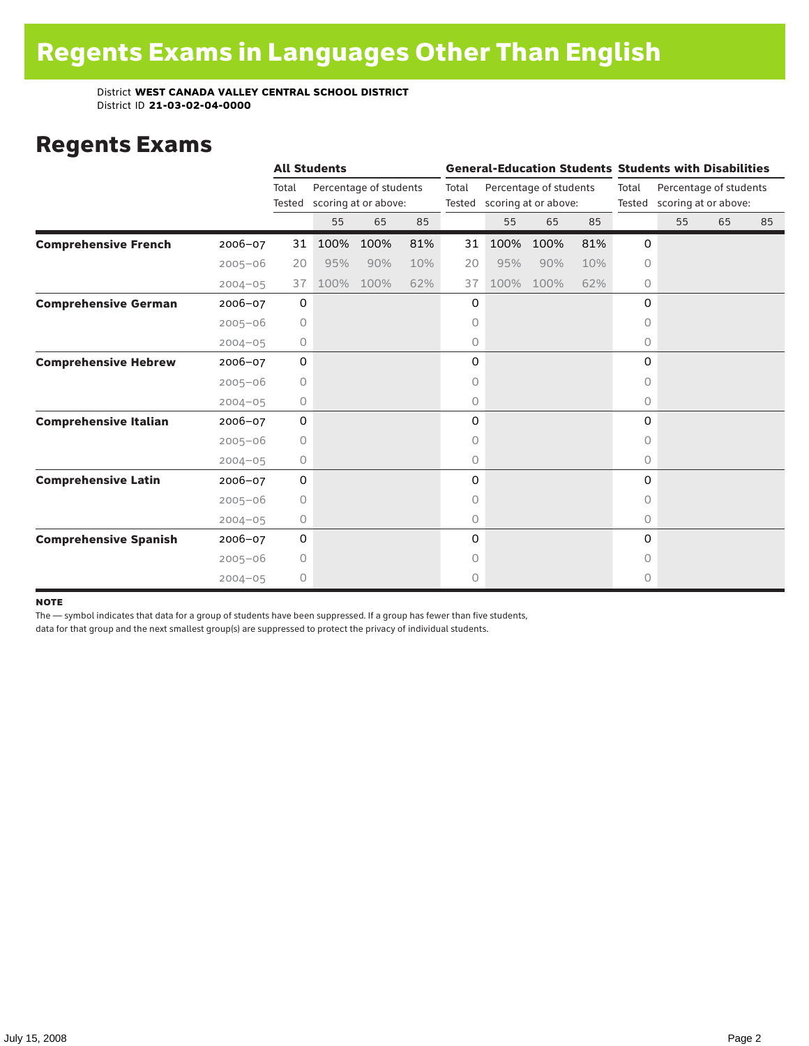### Regents Exams

|                              |             |                     | <b>All Students</b> |                                                       |     |       |                                                       |      |     |          | <b>General-Education Students Students with Disabilities</b> |    |    |  |
|------------------------------|-------------|---------------------|---------------------|-------------------------------------------------------|-----|-------|-------------------------------------------------------|------|-----|----------|--------------------------------------------------------------|----|----|--|
|                              |             | Total               |                     | Percentage of students<br>Tested scoring at or above: |     | Total | Percentage of students<br>Tested scoring at or above: |      |     | Total    | Percentage of students<br>Tested scoring at or above:        |    |    |  |
|                              |             |                     | 55                  | 65                                                    | 85  |       | 55                                                    | 65   | 85  |          | 55                                                           | 65 | 85 |  |
| <b>Comprehensive French</b>  | 2006-07     | 31                  | 100%                | 100%                                                  | 81% | 31    | 100%                                                  | 100% | 81% | 0        |                                                              |    |    |  |
|                              | $2005 - 06$ | 20                  | 95%                 | 90%                                                   | 10% | 20    | 95%                                                   | 90%  | 10% | $\circ$  |                                                              |    |    |  |
|                              | $2004 - 05$ | 37                  | 100%                | 100%                                                  | 62% | 37    | 100%                                                  | 100% | 62% | 0        |                                                              |    |    |  |
| <b>Comprehensive German</b>  | 2006-07     | 0                   |                     |                                                       |     | 0     |                                                       |      |     | $\Omega$ |                                                              |    |    |  |
|                              | $2005 - 06$ | 0                   |                     |                                                       |     | 0     |                                                       |      |     | 0        |                                                              |    |    |  |
|                              | $2004 - 05$ | 0                   |                     |                                                       |     | 0     |                                                       |      |     | 0        |                                                              |    |    |  |
| <b>Comprehensive Hebrew</b>  | 2006-07     | 0                   |                     |                                                       |     | 0     |                                                       |      |     | 0        |                                                              |    |    |  |
|                              | $2005 - 06$ | $\circ$             |                     |                                                       |     | 0     |                                                       |      |     | 0        |                                                              |    |    |  |
|                              | $2004 - 05$ | 0                   |                     |                                                       |     | 0     |                                                       |      |     | 0        |                                                              |    |    |  |
| <b>Comprehensive Italian</b> | 2006-07     | 0                   |                     |                                                       |     | 0     |                                                       |      |     | 0        |                                                              |    |    |  |
|                              | $2005 - 06$ | 0                   |                     |                                                       |     | 0     |                                                       |      |     | $\Omega$ |                                                              |    |    |  |
|                              | $2004 - 05$ | 0                   |                     |                                                       |     | 0     |                                                       |      |     | 0        |                                                              |    |    |  |
| <b>Comprehensive Latin</b>   | 2006-07     | 0                   |                     |                                                       |     | 0     |                                                       |      |     | 0        |                                                              |    |    |  |
|                              | $2005 - 06$ | 0                   |                     |                                                       |     | 0     |                                                       |      |     | 0        |                                                              |    |    |  |
|                              | $2004 - 05$ | 0                   |                     |                                                       |     | 0     |                                                       |      |     | 0        |                                                              |    |    |  |
| <b>Comprehensive Spanish</b> | $2006 - 07$ | $\mathsf{O}\xspace$ |                     |                                                       |     | 0     |                                                       |      |     | 0        |                                                              |    |    |  |
|                              | $2005 - 06$ | 0                   |                     |                                                       |     | 0     |                                                       |      |     | 0        |                                                              |    |    |  |
|                              | $2004 - 05$ | 0                   |                     |                                                       |     | 0     |                                                       |      |     | 0        |                                                              |    |    |  |

#### note

The — symbol indicates that data for a group of students have been suppressed. If a group has fewer than five students,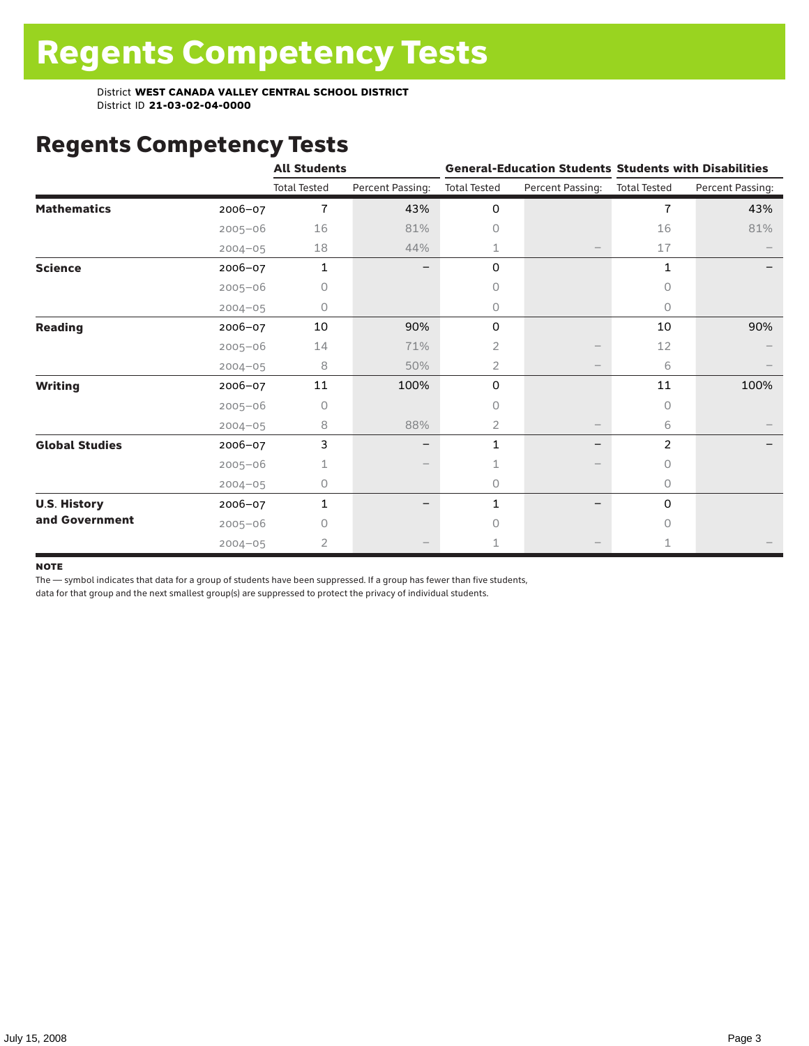# Regents Competency Tests

|                       |             | <b>All Students</b> |                  |                     |                          | <b>General-Education Students Students with Disabilities</b> |                  |  |
|-----------------------|-------------|---------------------|------------------|---------------------|--------------------------|--------------------------------------------------------------|------------------|--|
|                       |             | <b>Total Tested</b> | Percent Passing: | <b>Total Tested</b> | Percent Passing:         | <b>Total Tested</b>                                          | Percent Passing: |  |
| <b>Mathematics</b>    | $2006 - 07$ | $\overline{7}$      | 43%              | 0                   |                          | 7                                                            | 43%              |  |
|                       | $2005 - 06$ | 16                  | 81%              | $\circ$             |                          | 16                                                           | 81%              |  |
|                       | $2004 - 05$ | 18                  | 44%              | 1                   |                          | 17                                                           |                  |  |
| <b>Science</b>        | 2006-07     | 1                   |                  | 0                   |                          | 1                                                            |                  |  |
|                       | $2005 - 06$ | 0                   |                  | $\circ$             |                          | 0                                                            |                  |  |
|                       | $2004 - 05$ | 0                   |                  | 0                   |                          | 0                                                            |                  |  |
| <b>Reading</b>        | 2006-07     | 10                  | 90%              | 0                   |                          | 10                                                           | 90%              |  |
|                       | $2005 - 06$ | 14                  | 71%              | 2                   |                          | 12                                                           |                  |  |
|                       | $2004 - 05$ | 8                   | 50%              | $\overline{2}$      |                          | 6                                                            |                  |  |
| <b>Writing</b>        | $2006 - 07$ | 11                  | 100%             | 0                   |                          | 11                                                           | 100%             |  |
|                       | $2005 - 06$ | 0                   |                  | 0                   |                          | $\circ$                                                      |                  |  |
|                       | $2004 - 05$ | 8                   | 88%              | $\overline{2}$      | $\overline{\phantom{m}}$ | 6                                                            |                  |  |
| <b>Global Studies</b> | $2006 - 07$ | 3                   |                  | 1                   |                          | 2                                                            |                  |  |
|                       | $2005 - 06$ | 1                   |                  |                     |                          | 0                                                            |                  |  |
|                       | $2004 - 05$ | 0                   |                  | $\circ$             |                          | 0                                                            |                  |  |
| <b>U.S. History</b>   | 2006-07     | 1                   |                  | 1                   |                          | 0                                                            |                  |  |
| and Government        | $2005 - 06$ | Ω                   |                  | O                   |                          | $\bigcap$                                                    |                  |  |
|                       | $2004 - 05$ | 2                   |                  |                     |                          | $\mathbf{1}$                                                 |                  |  |

#### **NOTE**

The — symbol indicates that data for a group of students have been suppressed. If a group has fewer than five students,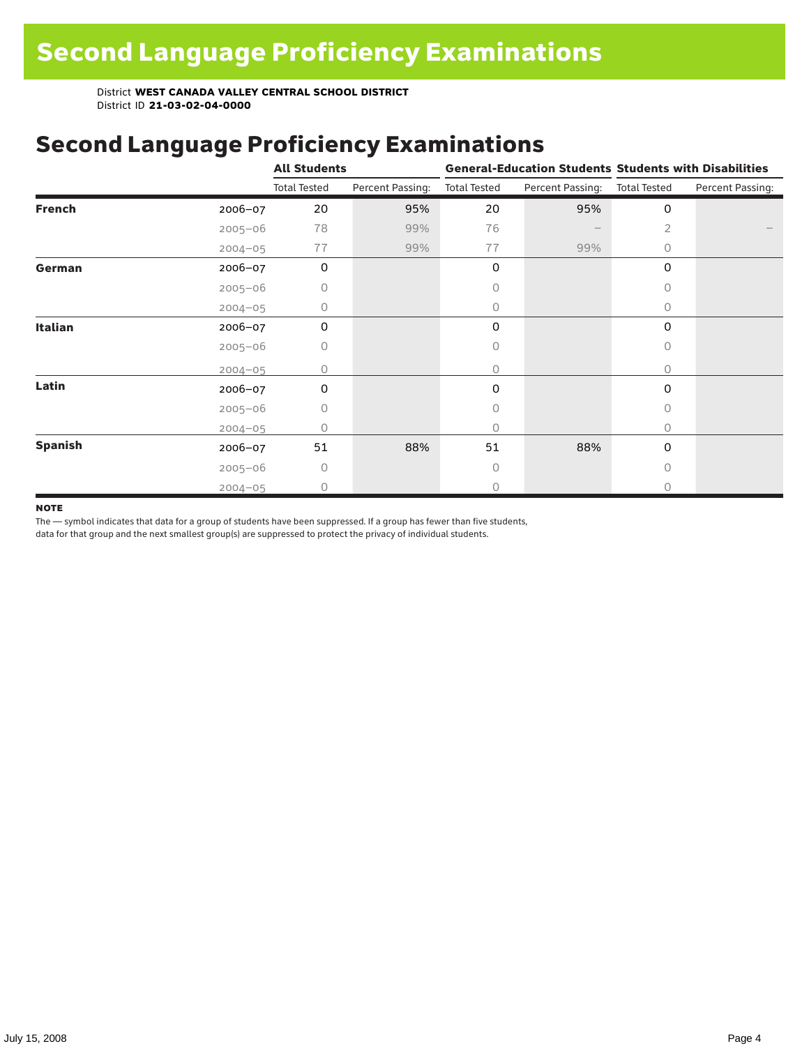### Second Language Proficiency Examinations

|                |             | <b>All Students</b> |                  |                     |                  | <b>General-Education Students Students with Disabilities</b> |                  |  |
|----------------|-------------|---------------------|------------------|---------------------|------------------|--------------------------------------------------------------|------------------|--|
|                |             | <b>Total Tested</b> | Percent Passing: | <b>Total Tested</b> | Percent Passing: | <b>Total Tested</b>                                          | Percent Passing: |  |
| <b>French</b>  | 2006-07     | 20                  | 95%              | 20                  | 95%              | 0                                                            |                  |  |
|                | $2005 - 06$ | 78                  | 99%              | 76                  |                  | 2                                                            |                  |  |
|                | $2004 - 05$ | 77                  | 99%              | 77                  | 99%              | 0                                                            |                  |  |
| German         | 2006-07     | 0                   |                  | 0                   |                  | 0                                                            |                  |  |
|                | $2005 - 06$ | 0                   |                  | Ω                   |                  | $\Omega$                                                     |                  |  |
|                | $2004 - 05$ | 0                   |                  | 0                   |                  | 0                                                            |                  |  |
| Italian        | 2006-07     | 0                   |                  | 0                   |                  | 0                                                            |                  |  |
|                | $2005 - 06$ | 0                   |                  | 0                   |                  | $\circ$                                                      |                  |  |
|                | $2004 - 05$ | 0                   |                  | 0                   |                  | $\circ$                                                      |                  |  |
| Latin          | $2006 - 07$ | 0                   |                  | 0                   |                  | 0                                                            |                  |  |
|                | $2005 - 06$ | 0                   |                  | 0                   |                  | $\circ$                                                      |                  |  |
|                | $2004 - 05$ | Ω                   |                  | 0                   |                  | $\circ$                                                      |                  |  |
| <b>Spanish</b> | 2006-07     | 51                  | 88%              | 51                  | 88%              | 0                                                            |                  |  |
|                | $2005 - 06$ | 0                   |                  | 0                   |                  | $\bigcap$                                                    |                  |  |
|                | $2004 - 05$ | $\bigcap$           |                  | Ω                   |                  | 0                                                            |                  |  |

#### **NOTE**

The — symbol indicates that data for a group of students have been suppressed. If a group has fewer than five students,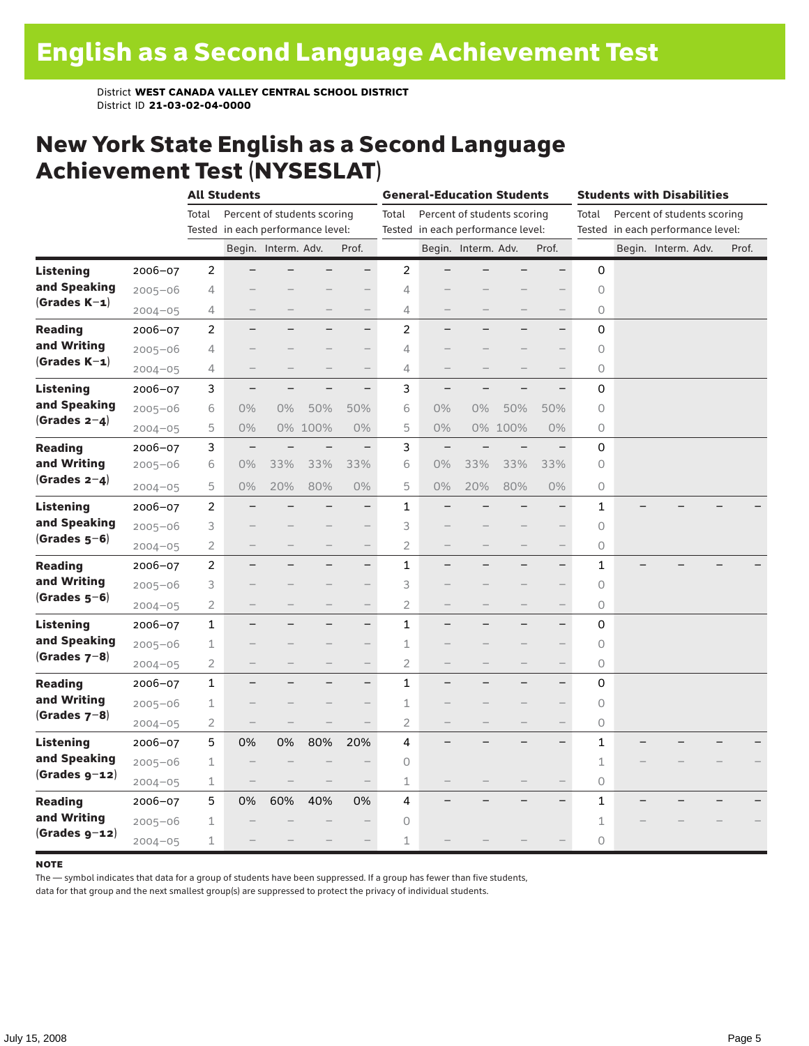#### New York State English as a Second Language Achievement Test (NYSESLAT)

|                  |             |                | <b>All Students</b>               |                     |                             |                          | <b>General-Education Students</b> |                                   |                          |                             | <b>Students with Disabilities</b> |                     |  |                                   |  |       |
|------------------|-------------|----------------|-----------------------------------|---------------------|-----------------------------|--------------------------|-----------------------------------|-----------------------------------|--------------------------|-----------------------------|-----------------------------------|---------------------|--|-----------------------------------|--|-------|
|                  |             | Total          |                                   |                     | Percent of students scoring |                          | Total                             |                                   |                          | Percent of students scoring |                                   | Total               |  | Percent of students scoring       |  |       |
|                  |             |                | Tested in each performance level: |                     |                             |                          |                                   | Tested in each performance level: |                          |                             |                                   |                     |  | Tested in each performance level: |  |       |
|                  |             |                |                                   | Begin. Interm. Adv. |                             | Prof.                    |                                   |                                   | Begin. Interm. Adv.      |                             | Prof.                             |                     |  | Begin. Interm. Adv.               |  | Prof. |
| <b>Listening</b> | 2006-07     | $\overline{c}$ |                                   |                     |                             | $\overline{\phantom{0}}$ | $\overline{c}$                    |                                   |                          |                             | $\overline{\phantom{0}}$          | 0                   |  |                                   |  |       |
| and Speaking     | $2005 - 06$ | 4              |                                   |                     |                             |                          | 4                                 |                                   |                          |                             |                                   | $\circ$             |  |                                   |  |       |
| $(Grades K-1)$   | $2004 - 05$ | 4              |                                   |                     |                             | $\qquad \qquad -$        | 4                                 |                                   |                          |                             | $\qquad \qquad -$                 | 0                   |  |                                   |  |       |
| <b>Reading</b>   | $2006 - 07$ | $\overline{2}$ |                                   |                     |                             | $\overline{\phantom{0}}$ | 2                                 |                                   |                          |                             | $\overline{\phantom{0}}$          | 0                   |  |                                   |  |       |
| and Writing      | $2005 - 06$ | 4              |                                   |                     |                             | $\qquad \qquad -$        | 4                                 |                                   |                          |                             |                                   | $\circ$             |  |                                   |  |       |
| $(Grades K-1)$   | $2004 - 05$ | 4              | -                                 |                     |                             | $\overline{\phantom{0}}$ | 4                                 |                                   |                          |                             | $\qquad \qquad -$                 | $\circ$             |  |                                   |  |       |
| <b>Listening</b> | $2006 - 07$ | 3              | $\overline{\phantom{0}}$          |                     |                             | $\overline{\phantom{0}}$ | 3                                 |                                   |                          |                             |                                   | 0                   |  |                                   |  |       |
| and Speaking     | $2005 - 06$ | 6              | $0\%$                             | $0\%$               | 50%                         | 50%                      | 6                                 | 0%                                | $0\%$                    | 50%                         | 50%                               | $\circ$             |  |                                   |  |       |
| (Grades $2-4$ )  | $2004 - 05$ | 5              | $0\%$                             |                     | 0% 100%                     | $0\%$                    | 5                                 | 0%                                |                          | 0% 100%                     | $0\%$                             | 0                   |  |                                   |  |       |
| <b>Reading</b>   | $2006 - 07$ | 3              | $\overline{\phantom{0}}$          |                     |                             | $\overline{\phantom{0}}$ | 3                                 | $\overline{\phantom{0}}$          |                          |                             |                                   | 0                   |  |                                   |  |       |
| and Writing      | $2005 - 06$ | 6              | $0\%$                             | 33%                 | 33%                         | 33%                      | 6                                 | 0%                                | 33%                      | 33%                         | 33%                               | 0                   |  |                                   |  |       |
| (Grades $2-4$ )  | $2004 - 05$ | 5              | 0%                                | 20%                 | 80%                         | 0%                       | 5                                 | 0%                                | 20%                      | 80%                         | 0%                                | $\circlearrowright$ |  |                                   |  |       |
| Listening        | $2006 - 07$ | 2              |                                   |                     |                             | $\overline{\phantom{0}}$ | 1                                 |                                   |                          |                             | $\overline{\phantom{0}}$          | 1                   |  |                                   |  |       |
| and Speaking     | $2005 - 06$ | 3              |                                   |                     |                             | $\qquad \qquad -$        | 3                                 |                                   |                          |                             |                                   | 0                   |  |                                   |  |       |
| $(Grades 5-6)$   | $2004 - 05$ | $\overline{2}$ |                                   |                     |                             | $\qquad \qquad -$        | $\overline{2}$                    |                                   |                          |                             | $\qquad \qquad -$                 | 0                   |  |                                   |  |       |
| <b>Reading</b>   | $2006 - 07$ | $\overline{2}$ | -                                 |                     | -                           | $\overline{\phantom{0}}$ | 1                                 | -                                 |                          | -                           | $\qquad \qquad -$                 | 1                   |  |                                   |  |       |
| and Writing      | $2005 - 06$ | 3              |                                   |                     |                             | $\overline{\phantom{0}}$ | 3                                 |                                   |                          |                             |                                   | $\circ$             |  |                                   |  |       |
| $(Grades 5-6)$   | $2004 - 05$ | $\overline{2}$ |                                   |                     |                             | $\qquad \qquad -$        | $\overline{2}$                    |                                   | $\overline{\phantom{0}}$ | $\overline{\phantom{0}}$    | $\qquad \qquad -$                 | $\circ$             |  |                                   |  |       |
| Listening        | $2006 - 07$ | $\mathbf{1}$   |                                   |                     |                             | $\qquad \qquad -$        | $\mathbf{1}$                      |                                   |                          |                             | $\qquad \qquad -$                 | 0                   |  |                                   |  |       |
| and Speaking     | $2005 - 06$ | 1              |                                   |                     |                             | $\overline{\phantom{0}}$ | 1                                 |                                   |                          |                             | $\overline{\phantom{0}}$          | $\circ$             |  |                                   |  |       |
| (Grades $7-8$ )  | $2004 - 05$ | 2              |                                   |                     | -                           | $\qquad \qquad -$        | 2                                 | $\qquad \qquad$                   |                          |                             | $\overline{\phantom{0}}$          | $\circ$             |  |                                   |  |       |
| <b>Reading</b>   | 2006-07     | 1              |                                   |                     |                             | $\overline{\phantom{0}}$ | $\mathbf{1}$                      |                                   |                          |                             | $\overline{\phantom{0}}$          | 0                   |  |                                   |  |       |
| and Writing      | $2005 - 06$ | 1              |                                   |                     |                             | $\overline{\phantom{0}}$ | 1                                 |                                   |                          |                             | $\qquad \qquad -$                 | $\circ$             |  |                                   |  |       |
| $(Grades 7-8)$   | $2004 - 05$ | 2              |                                   |                     |                             |                          | $\overline{2}$                    |                                   |                          |                             | $\overline{\phantom{0}}$          | 0                   |  |                                   |  |       |
| Listening        | $2006 - 07$ | 5              | 0%                                | 0%                  | 80%                         | 20%                      | 4                                 |                                   |                          |                             | $\overline{\phantom{0}}$          | 1                   |  |                                   |  |       |
| and Speaking     | $2005 - 06$ | 1              |                                   |                     |                             |                          | 0                                 |                                   |                          |                             |                                   | $\mathbf 1$         |  |                                   |  |       |
| $(Grades g-12)$  | $2004 - 05$ | 1              | $\qquad \qquad -$                 |                     |                             | $\overline{\phantom{0}}$ | $\mathbf 1$                       |                                   |                          |                             |                                   | 0                   |  |                                   |  |       |
| <b>Reading</b>   | $2006 - 07$ | 5              | 0%                                | 60%                 | 40%                         | 0%                       | 4                                 |                                   |                          |                             |                                   | 1                   |  |                                   |  |       |
| and Writing      | $2005 - 06$ | 1              |                                   |                     |                             |                          | 0                                 |                                   |                          |                             |                                   | 1                   |  |                                   |  |       |
| $(Grades g-12)$  | $2004 - 05$ | 1              |                                   |                     |                             |                          | 1                                 |                                   |                          |                             |                                   | 0                   |  |                                   |  |       |

#### **NOTE**

The — symbol indicates that data for a group of students have been suppressed. If a group has fewer than five students,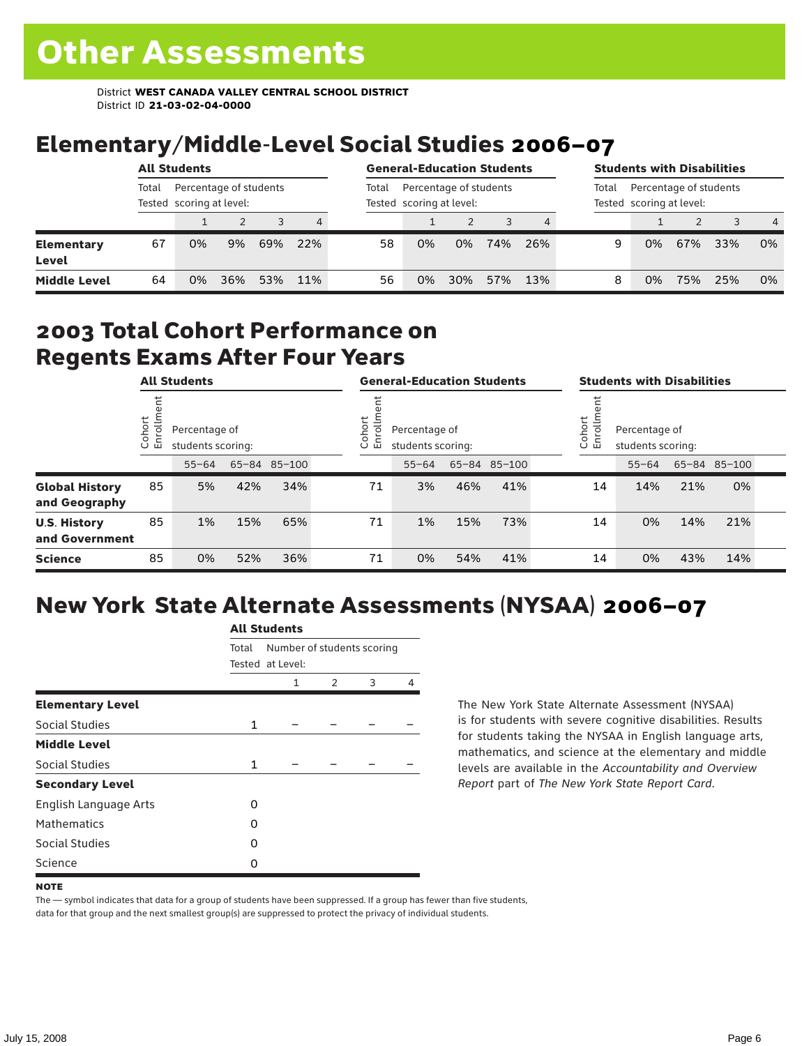# Elementary/Middle-Level Social Studies 2006–07

|                            | <b>All Students</b> |                                                    |     |     | <b>General-Education Students</b> |                                                    |    |     |     | <b>Students with Disabilities</b>                           |   |    |     |     |                |
|----------------------------|---------------------|----------------------------------------------------|-----|-----|-----------------------------------|----------------------------------------------------|----|-----|-----|-------------------------------------------------------------|---|----|-----|-----|----------------|
|                            | Total               | Percentage of students<br>Tested scoring at level: |     |     | Total                             | Percentage of students<br>Tested scoring at level: |    |     |     | Percentage of students<br>Total<br>Tested scoring at level: |   |    |     |     |                |
|                            |                     |                                                    |     |     | 4                                 |                                                    |    |     |     |                                                             |   |    |     |     | $\overline{4}$ |
| <b>Elementary</b><br>Level | 67                  | 0%                                                 | 9%  | 69% | 22%                               | 58                                                 | 0% | 0%  | 74% | 26%                                                         | 9 | 0% | 67% | 33% | 0%             |
| <b>Middle Level</b>        | 64                  | 0%                                                 | 36% | 53% | 11%                               | 56                                                 | 0% | 30% | 57% | 13%                                                         | 8 | 0% | 75% | 25% | 0%             |

#### 2003 Total Cohort Performance on Regents Exams After Four Years

|                                        | <b>All Students</b>     |           |                                                    | <b>General-Education Students</b> |  |                                                           |           |     | <b>Students with Disabilities</b> |  |                                                             |           |     |              |  |
|----------------------------------------|-------------------------|-----------|----------------------------------------------------|-----------------------------------|--|-----------------------------------------------------------|-----------|-----|-----------------------------------|--|-------------------------------------------------------------|-----------|-----|--------------|--|
|                                        | Cohort<br>$\circ$<br>一山 |           | Percentage of<br>students scoring:<br>65-84 85-100 |                                   |  | Cohort<br>allo<br>Percentage of<br>띧<br>students scoring: |           |     |                                   |  | Cohort<br>들<br>Percentage of<br>ā<br>훕<br>students scoring: |           |     |              |  |
|                                        |                         | $55 - 64$ |                                                    |                                   |  |                                                           | $55 - 64$ |     | 65-84 85-100                      |  |                                                             | $55 - 64$ |     | 65-84 85-100 |  |
| <b>Global History</b><br>and Geography | 85                      | 5%        | 42%                                                | 34%                               |  | 71                                                        | 3%        | 46% | 41%                               |  | 14                                                          | 14%       | 21% | 0%           |  |
| <b>U.S. History</b><br>and Government  | 85                      | 1%        | 15%                                                | 65%                               |  | 71                                                        | 1%        | 15% | 73%                               |  | 14                                                          | 0%        | 14% | 21%          |  |
| <b>Science</b>                         | 85                      | 0%        | 52%                                                | 36%                               |  | 71                                                        | 0%        | 54% | 41%                               |  | 14                                                          | 0%        | 43% | 14%          |  |

## New York State Alternate Assessments (NYSAA) 2006–07

|                         | <b>All Students</b> |                                                |               |   |   |  |  |  |  |
|-------------------------|---------------------|------------------------------------------------|---------------|---|---|--|--|--|--|
|                         | Total               | Number of students scoring<br>Tested at Level: |               |   |   |  |  |  |  |
|                         |                     | 1                                              | $\mathcal{P}$ | 3 | 4 |  |  |  |  |
| <b>Elementary Level</b> |                     |                                                |               |   |   |  |  |  |  |
| Social Studies          | $\mathbf{1}$        |                                                |               |   |   |  |  |  |  |
| <b>Middle Level</b>     |                     |                                                |               |   |   |  |  |  |  |
| Social Studies          | $\mathbf{1}$        |                                                |               |   |   |  |  |  |  |
| <b>Secondary Level</b>  |                     |                                                |               |   |   |  |  |  |  |
| English Language Arts   | O                   |                                                |               |   |   |  |  |  |  |
| <b>Mathematics</b>      | O                   |                                                |               |   |   |  |  |  |  |
| Social Studies          | ი                   |                                                |               |   |   |  |  |  |  |
| Science                 | O                   |                                                |               |   |   |  |  |  |  |

The New York State Alternate Assessment (NYSAA) is for students with severe cognitive disabilities. Results for students taking the NYSAA in English language arts, mathematics, and science at the elementary and middle levels are available in the *Accountability and Overview Report* part of *The New York State Report Card*.

The — symbol indicates that data for a group of students have been suppressed. If a group has fewer than five students, data for that group and the next smallest group(s) are suppressed to protect the privacy of individual students.

**NOTE**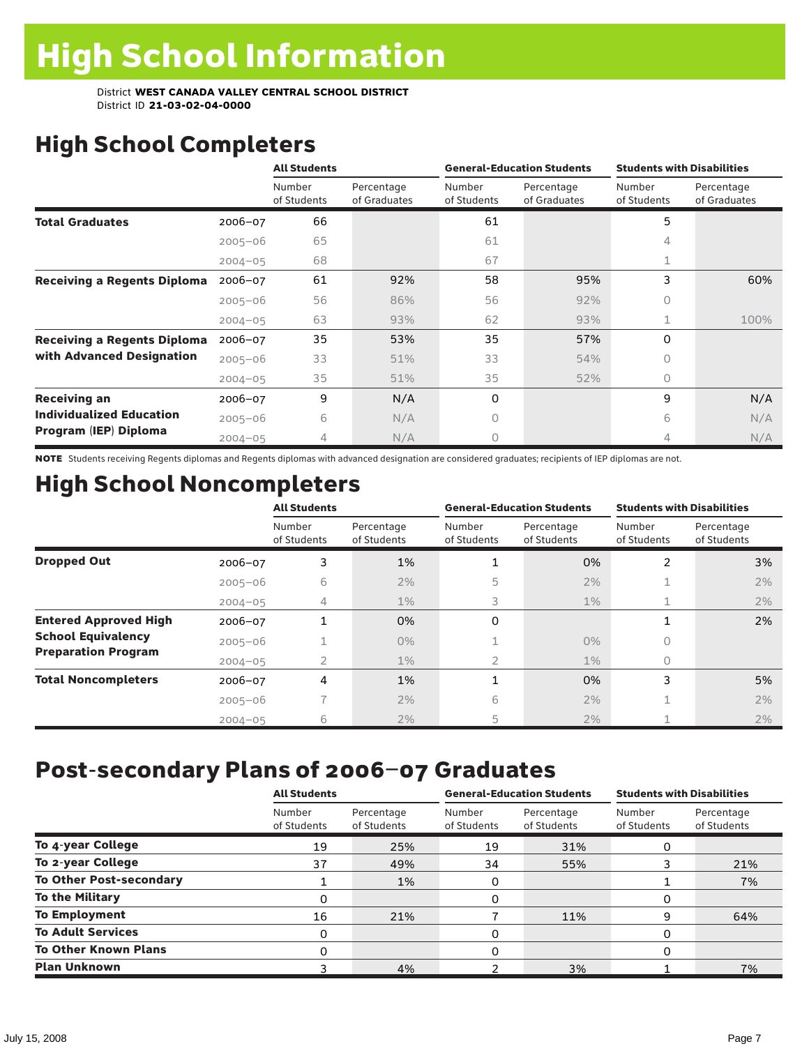# High School Completers

|                                    |             | <b>All Students</b>   |                            |                       | <b>General-Education Students</b> | <b>Students with Disabilities</b> |                            |  |
|------------------------------------|-------------|-----------------------|----------------------------|-----------------------|-----------------------------------|-----------------------------------|----------------------------|--|
|                                    |             | Number<br>of Students | Percentage<br>of Graduates | Number<br>of Students | Percentage<br>of Graduates        | Number<br>of Students             | Percentage<br>of Graduates |  |
| <b>Total Graduates</b>             | $2006 - 07$ | 66                    |                            | 61                    |                                   | 5                                 |                            |  |
|                                    | $2005 - 06$ | 65                    |                            | 61                    |                                   | 4                                 |                            |  |
|                                    | $2004 - 05$ | 68                    |                            | 67                    |                                   |                                   |                            |  |
| <b>Receiving a Regents Diploma</b> | $2006 - 07$ | 61                    | 92%                        | 58                    | 95%                               | 3                                 | 60%                        |  |
|                                    | $2005 - 06$ | 56                    | 86%                        | 56                    | 92%                               | $\circ$                           |                            |  |
|                                    | $2004 - 05$ | 63                    | 93%                        | 62                    | 93%                               | 1                                 | 100%                       |  |
| <b>Receiving a Regents Diploma</b> | $2006 - 07$ | 35                    | 53%                        | 35                    | 57%                               | $\Omega$                          |                            |  |
| with Advanced Designation          | $2005 - 06$ | 33                    | 51%                        | 33                    | 54%                               | $\Omega$                          |                            |  |
|                                    | $2004 - 05$ | 35                    | 51%                        | 35                    | 52%                               | $\circ$                           |                            |  |
| <b>Receiving an</b>                | $2006 - 07$ | 9                     | N/A                        | 0                     |                                   | 9                                 | N/A                        |  |
| <b>Individualized Education</b>    | $2005 - 06$ | 6                     | N/A                        | 0                     |                                   | 6                                 | N/A                        |  |
| Program (IEP) Diploma              | $2004 - 05$ | 4                     | N/A                        | 0                     |                                   | 4                                 | N/A                        |  |

NOTE Students receiving Regents diplomas and Regents diplomas with advanced designation are considered graduates; recipients of IEP diplomas are not.

# High School Noncompleters

|                              |             | <b>All Students</b>   |                           |                       | <b>General-Education Students</b> | <b>Students with Disabilities</b> |                           |  |
|------------------------------|-------------|-----------------------|---------------------------|-----------------------|-----------------------------------|-----------------------------------|---------------------------|--|
|                              |             | Number<br>of Students | Percentage<br>of Students | Number<br>of Students | Percentage<br>of Students         | Number<br>of Students             | Percentage<br>of Students |  |
| <b>Dropped Out</b>           | 2006-07     | 3                     | 1%                        |                       | 0%                                | 2                                 | 3%                        |  |
|                              | $2005 - 06$ | 6                     | 2%                        | 5                     | 2%                                | ш.                                | 2%                        |  |
|                              | $2004 - 05$ | 4                     | $1\%$                     | 3                     | $1\%$                             | 1                                 | 2%                        |  |
| <b>Entered Approved High</b> | $2006 - 07$ |                       | 0%                        | 0                     |                                   | 1                                 | 2%                        |  |
| <b>School Equivalency</b>    | $2005 - 06$ |                       | $0\%$                     |                       | $0\%$                             | 0                                 |                           |  |
| <b>Preparation Program</b>   | $2004 - 05$ | $\overline{2}$        | $1\%$                     | $\overline{2}$        | $1\%$                             | 0                                 |                           |  |
| <b>Total Noncompleters</b>   | 2006-07     | 4                     | 1%                        | $\blacktriangleleft$  | 0%                                | 3                                 | 5%                        |  |
|                              | $2005 - 06$ |                       | 2%                        | 6                     | 2%                                | 1                                 | 2%                        |  |
|                              | $2004 - 05$ | 6                     | 2%                        | 5                     | 2%                                |                                   | 2%                        |  |

# Post-secondary Plans of 2006–07 Graduates

|                                | <b>All Students</b>   |                           |                       | <b>General-Education Students</b> | <b>Students with Disabilities</b> |                           |  |
|--------------------------------|-----------------------|---------------------------|-----------------------|-----------------------------------|-----------------------------------|---------------------------|--|
|                                | Number<br>of Students | Percentage<br>of Students | Number<br>of Students | Percentage<br>of Students         | Number<br>of Students             | Percentage<br>of Students |  |
| To 4-year College              | 19                    | 25%                       | 19                    | 31%                               | 0                                 |                           |  |
| To 2-year College              | 37                    | 49%                       | 34                    | 55%                               |                                   | 21%                       |  |
| <b>To Other Post-secondary</b> |                       | 1%                        | 0                     |                                   |                                   | 7%                        |  |
| <b>To the Military</b>         | Ω                     |                           | 0                     |                                   | 0                                 |                           |  |
| <b>To Employment</b>           | 16                    | 21%                       |                       | 11%                               | 9                                 | 64%                       |  |
| <b>To Adult Services</b>       | 0                     |                           | 0                     |                                   | 0                                 |                           |  |
| <b>To Other Known Plans</b>    | 0                     |                           | 0                     |                                   | $\Omega$                          |                           |  |
| <b>Plan Unknown</b>            |                       | 4%                        |                       | 3%                                |                                   | 7%                        |  |